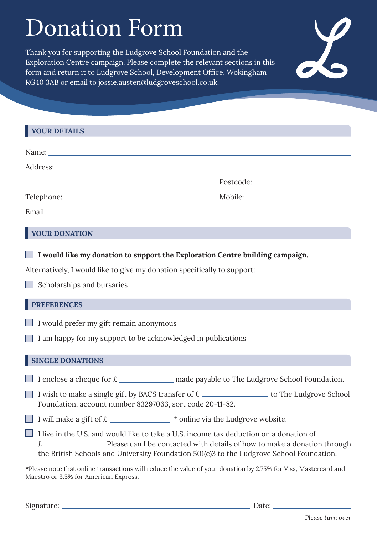# Donation Form

Thank you for supporting the Ludgrove School Foundation and the Exploration Centre campaign. Please complete the relevant sections in this form and return it to Ludgrove School, Development Office, Wokingham RG40 3AB or email to jossie.austen@ludgroveschool.co.uk.



## **YOUR DONATION**

**I would like my donation to support the Exploration Centre building campaign.** 

Alternatively, I would like to give my donation specifically to support:

 $\Box$  Scholarships and bursaries

## **PREFERENCES**

- I would prefer my gift remain anonymous
- I am happy for my support to be acknowledged in publications

## **SINGLE DONATIONS**

I enclose a cheque for  $f{E}$  made payable to The Ludgrove School Foundation.

I wish to make a single gift by BACS transfer of  $\epsilon$  \_\_\_\_\_\_\_\_\_\_\_\_\_\_\_\_\_\_\_\_\_ to The Ludgrove School Foundation, account number 83297063, sort code 20-11-82.

I will make a gift of  $\epsilon$   $*$  online via the Ludgrove website.

I live in the U.S. and would like to take a U.S. income tax deduction on a donation of  $\epsilon$  . Please can I be contacted with details of how to make a donation through the British Schools and University Foundation 501(c)3 to the Ludgrove School Foundation.

\*Please note that online transactions will reduce the value of your donation by 2.75% for Visa, Mastercard and Maestro or 3.5% for American Express.

Signature: Date: